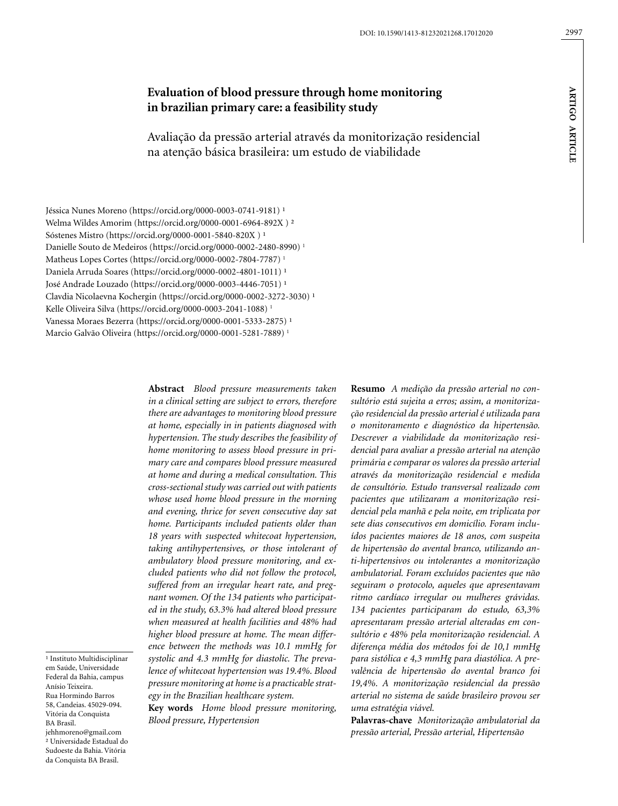# **Evaluation of blood pressure through home monitoring in brazilian primary care: a feasibility study**

Avaliação da pressão arterial através da monitorização residencial na atenção básica brasileira: um estudo de viabilidade

Jéssica Nunes Moreno [\(https://orcid.org/0000-0003-0741-9181\)](https://orcid.org/0000-0003-0741-9181)<sup>1</sup> Welma Wildes Amorim (https://orcid.org/0000-0001-6964-892X ) ² Sóstenes Mistro (https://orcid.org/0000-0001-5840-820X)<sup>1</sup> Danielle Souto de Medeiros (https://orcid.org/0000-0002-2480-8990) 1 Matheus Lopes Cortes (https://orcid.org/0000-0002-7804-7787)<sup>1</sup> Daniela Arruda Soares (https://orcid.org/0000-0002-4801-1011)<sup>1</sup> José Andrade Louzado (https://orcid.org/0000-0003-4446-7051)<sup>1</sup> Clavdia Nicolaevna Kochergin (https://orcid.org/0000-0002-3272-3030)<sup>1</sup> Kelle Oliveira Silva (https://orcid.org/0000-0003-2041-1088) 1 Vanessa Moraes Bezerra (https://orcid.org/0000-0001-5333-2875)<sup>1</sup> Marcio Galvão Oliveira (https://orcid.org/0000-0001-5281-7889) 1

> **Abstract** *Blood pressure measurements taken in a clinical setting are subject to errors, therefore there are advantages to monitoring blood pressure at home, especially in in patients diagnosed with hypertension. The study describes the feasibility of home monitoring to assess blood pressure in primary care and compares blood pressure measured at home and during a medical consultation. This cross-sectional study was carried out with patients whose used home blood pressure in the morning and evening, thrice for seven consecutive day sat home. Participants included patients older than 18 years with suspected whitecoat hypertension, taking antihypertensives, or those intolerant of ambulatory blood pressure monitoring, and excluded patients who did not follow the protocol, suffered from an irregular heart rate, and pregnant women. Of the 134 patients who participated in the study, 63.3% had altered blood pressure when measured at health facilities and 48% had higher blood pressure at home. The mean difference between the methods was 10.1 mmHg for systolic and 4.3 mmHg for diastolic. The prevalence of whitecoat hypertension was 19.4%. Blood pressure monitoring at home is a practicable strategy in the Brazilian healthcare system.*

**Key words** *Home blood pressure monitoring, Blood pressure, Hypertension*

**Resumo** *A medição da pressão arterial no consultório está sujeita a erros; assim, a monitorização residencial da pressão arterial é utilizada para o monitoramento e diagnóstico da hipertensão. Descrever a viabilidade da monitorização residencial para avaliar a pressão arterial na atenção primária e comparar os valores da pressão arterial através da monitorização residencial e medida de consultório. Estudo transversal realizado com pacientes que utilizaram a monitorização residencial pela manhã e pela noite, em triplicata por sete dias consecutivos em domicílio. Foram incluídos pacientes maiores de 18 anos, com suspeita de hipertensão do avental branco, utilizando anti-hipertensivos ou intolerantes a monitorização ambulatorial. Foram excluídos pacientes que não seguiram o protocolo, aqueles que apresentavam ritmo cardíaco irregular ou mulheres grávidas. 134 pacientes participaram do estudo, 63,3% apresentaram pressão arterial alteradas em consultório e 48% pela monitorização residencial. A diferença média dos métodos foi de 10,1 mmHg para sistólica e 4,3 mmHg para diastólica. A prevalência de hipertensão do avental branco foi 19,4%. A monitorização residencial da pressão arterial no sistema de saúde brasileiro provou ser uma estratégia viável.*

**Palavras-chave** *Monitorização ambulatorial da pressão arterial, Pressão arterial, Hipertensão*

<sup>1</sup> Instituto Multidisciplinar em Saúde, Universidade Federal da Bahia, campus Anísio Teixeira. Rua Hormindo Barros 58, Candeias. 45029-094. Vitória da Conquista BA Brasil. jehhmoreno@gmail.com

² Universidade Estadual do Sudoeste da Bahia. Vitória da Conquista BA Brasil.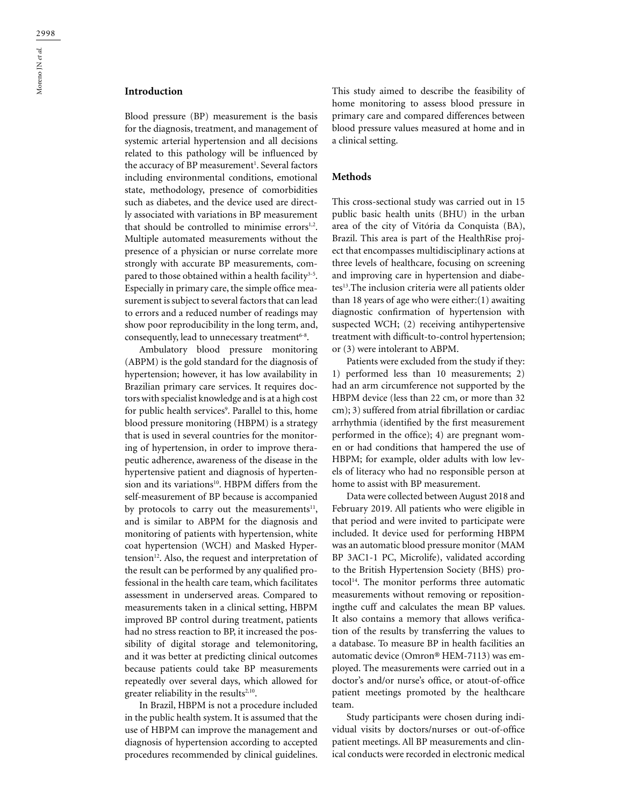Blood pressure (BP) measurement is the basis for the diagnosis, treatment, and management of systemic arterial hypertension and all decisions related to this pathology will be influenced by the accuracy of BP measurement<sup>1</sup>. Several factors including environmental conditions, emotional state, methodology, presence of comorbidities such as diabetes, and the device used are directly associated with variations in BP measurement that should be controlled to minimise errors<sup>1,2</sup>. Multiple automated measurements without the presence of a physician or nurse correlate more strongly with accurate BP measurements, compared to those obtained within a health facility<sup>3-5</sup>. Especially in primary care, the simple office measurement is subject to several factors that can lead to errors and a reduced number of readings may show poor reproducibility in the long term, and, consequently, lead to unnecessary treatment<sup>6-8</sup>.

Ambulatory blood pressure monitoring (ABPM) is the gold standard for the diagnosis of hypertension; however, it has low availability in Brazilian primary care services. It requires doctors with specialist knowledge and is at a high cost for public health services<sup>9</sup>. Parallel to this, home blood pressure monitoring (HBPM) is a strategy that is used in several countries for the monitoring of hypertension, in order to improve therapeutic adherence, awareness of the disease in the hypertensive patient and diagnosis of hypertension and its variations<sup>10</sup>. HBPM differs from the self-measurement of BP because is accompanied by protocols to carry out the measurements $11$ , and is similar to ABPM for the diagnosis and monitoring of patients with hypertension, white coat hypertension (WCH) and Masked Hypertension $^{12}$ . Also, the request and interpretation of the result can be performed by any qualified professional in the health care team, which facilitates assessment in underserved areas. Compared to measurements taken in a clinical setting, HBPM improved BP control during treatment, patients had no stress reaction to BP, it increased the possibility of digital storage and telemonitoring, and it was better at predicting clinical outcomes because patients could take BP measurements repeatedly over several days, which allowed for greater reliability in the results $2,10$ .

In Brazil, HBPM is not a procedure included in the public health system. It is assumed that the use of HBPM can improve the management and diagnosis of hypertension according to accepted procedures recommended by clinical guidelines.

This study aimed to describe the feasibility of home monitoring to assess blood pressure in primary care and compared differences between blood pressure values measured at home and in a clinical setting.

#### **Methods**

This cross-sectional study was carried out in 15 public basic health units (BHU) in the urban area of the city of Vitória da Conquista (BA), Brazil. This area is part of the HealthRise project that encompasses multidisciplinary actions at three levels of healthcare, focusing on screening and improving care in hypertension and diabetes<sup>13</sup>.The inclusion criteria were all patients older than 18 years of age who were either:(1) awaiting diagnostic confirmation of hypertension with suspected WCH; (2) receiving antihypertensive treatment with difficult-to-control hypertension; or (3) were intolerant to ABPM.

Patients were excluded from the study if they: 1) performed less than 10 measurements; 2) had an arm circumference not supported by the HBPM device (less than 22 cm, or more than 32 cm); 3) suffered from atrial fibrillation or cardiac arrhythmia (identified by the first measurement performed in the office); 4) are pregnant women or had conditions that hampered the use of HBPM; for example, older adults with low levels of literacy who had no responsible person at home to assist with BP measurement.

Data were collected between August 2018 and February 2019. All patients who were eligible in that period and were invited to participate were included. It device used for performing HBPM was an automatic blood pressure monitor (MAM BP 3AC1-1 PC, Microlife), validated according to the British Hypertension Society (BHS) protocol<sup>14</sup>. The monitor performs three automatic measurements without removing or repositioningthe cuff and calculates the mean BP values. It also contains a memory that allows verification of the results by transferring the values to a database. To measure BP in health facilities an automatic device (Omron® HEM-7113) was employed. The measurements were carried out in a doctor's and/or nurse's office, or atout-of-office patient meetings promoted by the healthcare team.

Study participants were chosen during individual visits by doctors/nurses or out-of-office patient meetings. All BP measurements and clinical conducts were recorded in electronic medical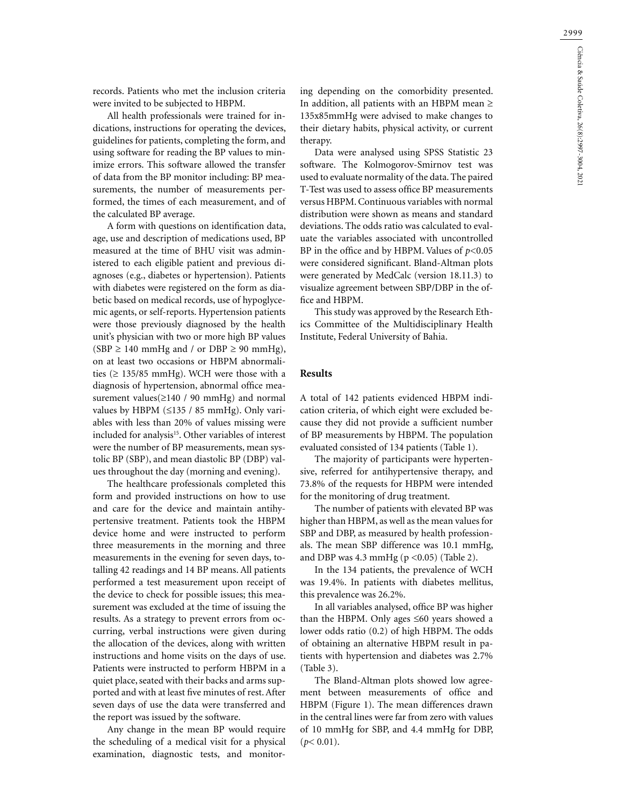records. Patients who met the inclusion criteria were invited to be subjected to HBPM.

All health professionals were trained for indications, instructions for operating the devices, guidelines for patients, completing the form, and using software for reading the BP values to minimize errors. This software allowed the transfer of data from the BP monitor including: BP measurements, the number of measurements performed, the times of each measurement, and of the calculated BP average.

A form with questions on identification data, age, use and description of medications used, BP measured at the time of BHU visit was administered to each eligible patient and previous diagnoses (e.g., diabetes or hypertension). Patients with diabetes were registered on the form as diabetic based on medical records, use of hypoglycemic agents, or self-reports. Hypertension patients were those previously diagnosed by the health unit's physician with two or more high BP values  $(SBP \ge 140 \text{ mmHg}$  and / or DBP  $\ge 90 \text{ mmHg}$ ), on at least two occasions or HBPM abnormalities ( $\geq$  135/85 mmHg). WCH were those with a diagnosis of hypertension, abnormal office measurement values(≥140 / 90 mmHg) and normal values by HBPM (≤135 / 85 mmHg). Only variables with less than 20% of values missing were included for analysis<sup>15</sup>. Other variables of interest were the number of BP measurements, mean systolic BP (SBP), and mean diastolic BP (DBP) values throughout the day (morning and evening).

The healthcare professionals completed this form and provided instructions on how to use and care for the device and maintain antihypertensive treatment. Patients took the HBPM device home and were instructed to perform three measurements in the morning and three measurements in the evening for seven days, totalling 42 readings and 14 BP means. All patients performed a test measurement upon receipt of the device to check for possible issues; this measurement was excluded at the time of issuing the results. As a strategy to prevent errors from occurring, verbal instructions were given during the allocation of the devices, along with written instructions and home visits on the days of use. Patients were instructed to perform HBPM in a quiet place, seated with their backs and arms supported and with at least five minutes of rest. After seven days of use the data were transferred and the report was issued by the software.

Any change in the mean BP would require the scheduling of a medical visit for a physical examination, diagnostic tests, and monitoring depending on the comorbidity presented. In addition, all patients with an HBPM mean ≥ 135x85mmHg were advised to make changes to their dietary habits, physical activity, or current therapy.

Data were analysed using SPSS Statistic 23 software. The Kolmogorov-Smirnov test was used to evaluate normality of the data. The paired T-Test was used to assess office BP measurements versus HBPM. Continuous variables with normal distribution were shown as means and standard deviations. The odds ratio was calculated to evaluate the variables associated with uncontrolled BP in the office and by HBPM. Values of  $p<0.05$ were considered significant. Bland-Altman plots were generated by MedCalc (version 18.11.3) to visualize agreement between SBP/DBP in the office and HBPM.

This study was approved by the Research Ethics Committee of the Multidisciplinary Health Institute, Federal University of Bahia.

#### **Results**

A total of 142 patients evidenced HBPM indication criteria, of which eight were excluded because they did not provide a sufficient number of BP measurements by HBPM. The population evaluated consisted of 134 patients (Table 1).

The majority of participants were hypertensive, referred for antihypertensive therapy, and 73.8% of the requests for HBPM were intended for the monitoring of drug treatment.

The number of patients with elevated BP was higher than HBPM, as well as the mean values for SBP and DBP, as measured by health professionals. The mean SBP difference was 10.1 mmHg, and DBP was  $4.3$  mmHg ( $p < 0.05$ ) (Table 2).

In the 134 patients, the prevalence of WCH was 19.4%. In patients with diabetes mellitus, this prevalence was 26.2%.

In all variables analysed, office BP was higher than the HBPM. Only ages ≤60 years showed a lower odds ratio (0.2) of high HBPM. The odds of obtaining an alternative HBPM result in patients with hypertension and diabetes was 2.7% (Table 3).

The Bland-Altman plots showed low agreement between measurements of office and HBPM (Figure 1). The mean differences drawn in the central lines were far from zero with values of 10 mmHg for SBP, and 4.4 mmHg for DBP,  $(p < 0.01)$ .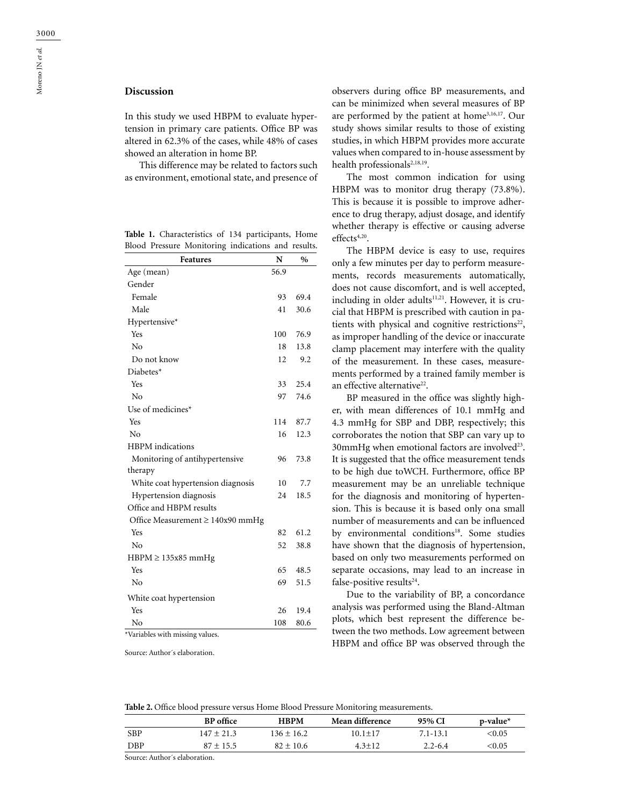Moreno JN *et al.*

Moreno JN et al.

## **Discussion**

In this study we used HBPM to evaluate hypertension in primary care patients. Office BP was altered in 62.3% of the cases, while 48% of cases showed an alteration in home BP.

This difference may be related to factors such as environment, emotional state, and presence of

**Table 1.** Characteristics of 134 participants, Home Blood Pressure Monitoring indications and results.

| Features                                     | N    | $\%$ |
|----------------------------------------------|------|------|
| Age (mean)                                   | 56.9 |      |
| Gender                                       |      |      |
| Female                                       | 93   | 69.4 |
| Male                                         | 41   | 30.6 |
| Hypertensive*                                |      |      |
| Yes                                          | 100  | 76.9 |
| No                                           | 18   | 13.8 |
| Do not know                                  | 12   | 9.2  |
| Diabetes*                                    |      |      |
| Yes                                          | 33   | 25.4 |
| No                                           | 97   | 74.6 |
| Use of medicines*                            |      |      |
| Yes                                          | 114  | 87.7 |
| No                                           | 16   | 12.3 |
| <b>HBPM</b> indications                      |      |      |
| Monitoring of antihypertensive               | 96   | 73.8 |
| therapy                                      |      |      |
| White coat hypertension diagnosis            | 10   | 7.7  |
| Hypertension diagnosis                       | 24   | 18.5 |
| Office and HBPM results                      |      |      |
| Office Measurement $\geq 140x90$ mmHg        |      |      |
| Yes                                          | 82   | 61.2 |
| No                                           | 52   | 38.8 |
| $HBPM \geq 135x85$ mmHg                      |      |      |
| Yes                                          | 65   | 48.5 |
| No                                           | 69   | 51.5 |
| White coat hypertension                      |      |      |
| Yes                                          | 26   | 19.4 |
| No<br>$*U_2$ wish last with resigning values | 108  | 80.6 |

Variables with missing values.

Source: Author´s elaboration.

observers during office BP measurements, and can be minimized when several measures of BP are performed by the patient at home3,16,17. Our study shows similar results to those of existing studies, in which HBPM provides more accurate values when compared to in-house assessment by health professionals<sup>2,18,19</sup>.

The most common indication for using HBPM was to monitor drug therapy (73.8%). This is because it is possible to improve adherence to drug therapy, adjust dosage, and identify whether therapy is effective or causing adverse effects<sup>4,20</sup>.

The HBPM device is easy to use, requires only a few minutes per day to perform measurements, records measurements automatically, does not cause discomfort, and is well accepted, including in older adults<sup>11,21</sup>. However, it is crucial that HBPM is prescribed with caution in patients with physical and cognitive restrictions<sup>22</sup>, as improper handling of the device or inaccurate clamp placement may interfere with the quality of the measurement. In these cases, measurements performed by a trained family member is an effective alternative<sup>22</sup>.

BP measured in the office was slightly higher, with mean differences of 10.1 mmHg and 4.3 mmHg for SBP and DBP, respectively; this corroborates the notion that SBP can vary up to 30mmHg when emotional factors are involved<sup>23</sup>. It is suggested that the office measurement tends to be high due toWCH. Furthermore, office BP measurement may be an unreliable technique for the diagnosis and monitoring of hypertension. This is because it is based only ona small number of measurements and can be influenced by environmental conditions<sup>18</sup>. Some studies have shown that the diagnosis of hypertension, based on only two measurements performed on separate occasions, may lead to an increase in false-positive results $24$ .

Due to the variability of BP, a concordance analysis was performed using the Bland-Altman plots, which best represent the difference between the two methods. Low agreement between HBPM and office BP was observed through the

**Table 2.** Office blood pressure versus Home Blood Pressure Monitoring measurements.

|            | <b>BP</b> office | <b>HBPM</b>    | <b>Mean difference</b> | 95% CI      | $p$ -value $*$ |
|------------|------------------|----------------|------------------------|-------------|----------------|
| <b>SBP</b> | $147 \pm 21.3$   | $136 \pm 16.2$ | 10.1+17                | 7.1-13.1    | $<$ 0.05 $\,$  |
| DBP        | $87 \pm 15.5$    | $82 \pm 10.6$  | $4.3 + 12$             | $2.2 - 6.4$ | $<\!\!0.05$    |

Source: Author´s elaboration.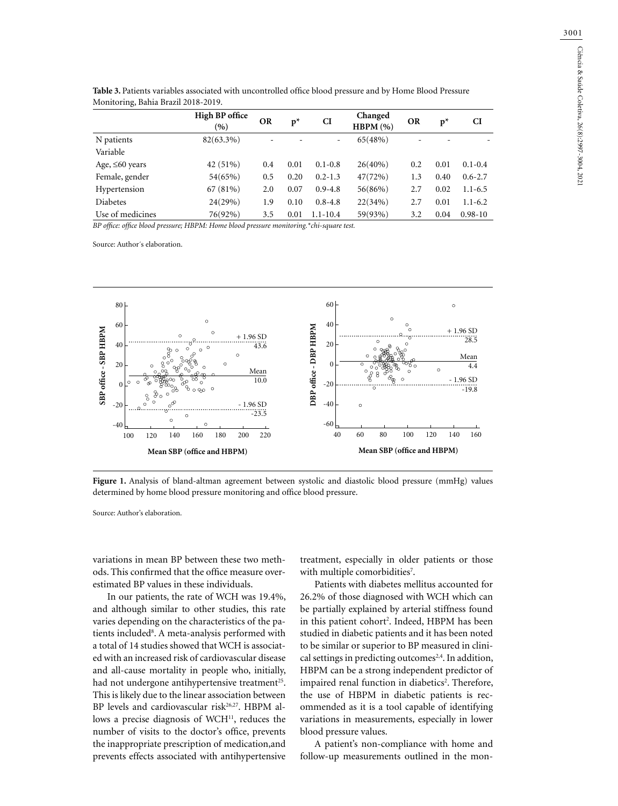| MONICORING, DANIA DIAZII ZUTO-ZUTY. |                       |           |      |              |                    |           |                          |             |  |  |
|-------------------------------------|-----------------------|-----------|------|--------------|--------------------|-----------|--------------------------|-------------|--|--|
|                                     | High BP office<br>(9) | <b>OR</b> | $p*$ | CI           | Changed<br>HBPM(%) | <b>OR</b> | $p^*$                    | <b>CI</b>   |  |  |
| N patients                          | $82(63.3\%)$          |           |      | ٠            | 65(48%)            |           | $\overline{\phantom{0}}$ |             |  |  |
| Variable                            |                       |           |      |              |                    |           |                          |             |  |  |
| Age, $\leq 60$ years                | 42 (51%)              | 0.4       | 0.01 | $0.1 - 0.8$  | $26(40\%)$         | 0.2       | 0.01                     | $0.1 - 0.4$ |  |  |
| Female, gender                      | 54(65%)               | 0.5       | 0.20 | $0.2 - 1.3$  | 47(72%)            | 1.3       | 0.40                     | $0.6 - 2.7$ |  |  |
| Hypertension                        | 67 (81%)              | 2.0       | 0.07 | $0.9 - 4.8$  | 56(86%)            | 2.7       | 0.02                     | $1.1 - 6.5$ |  |  |
| <b>Diabetes</b>                     | 24(29%)               | 1.9       | 0.10 | $0.8 - 4.8$  | 22(34%)            | 2.7       | 0.01                     | $1.1 - 6.2$ |  |  |
| Use of medicines                    | 76(92%)               | 3.5       | 0.01 | $1.1 - 10.4$ | 59(93%)            | 3.2       | 0.04                     | $0.98 - 10$ |  |  |

**Table 3.** Patients variables associated with uncontrolled office blood pressure and by Home Blood Pressure Monitoring, Bahia Brazil 2018-2019.

*BP office: office blood pressure; HBPM: Home blood pressure monitoring.\*chi-square test.*

Source: Author´s elaboration.



Figure 1. Analysis of bland-altman agreement between systolic and diastolic blood pressure (mmHg) values determined by home blood pressure monitoring and office blood pressure.

Source: Author's elaboration.

variations in mean BP between these two methods. This confirmed that the office measure overestimated BP values in these individuals.

In our patients, the rate of WCH was 19.4%, and although similar to other studies, this rate varies depending on the characteristics of the patients included<sup>8</sup>. A meta-analysis performed with a total of 14 studies showed that WCH is associated with an increased risk of cardiovascular disease and all-cause mortality in people who, initially, had not undergone antihypertensive treatment<sup>25</sup>. This is likely due to the linear association between BP levels and cardiovascular risk<sup>26,27</sup>. HBPM allows a precise diagnosis of WCH<sup>11</sup>, reduces the number of visits to the doctor's office, prevents the inappropriate prescription of medication,and prevents effects associated with antihypertensive

treatment, especially in older patients or those with multiple comorbidities<sup>7</sup>.

Patients with diabetes mellitus accounted for 26.2% of those diagnosed with WCH which can be partially explained by arterial stiffness found in this patient cohort<sup>2</sup>. Indeed, HBPM has been studied in diabetic patients and it has been noted to be similar or superior to BP measured in clinical settings in predicting outcomes<sup>2,4</sup>. In addition, HBPM can be a strong independent predictor of impaired renal function in diabetics<sup>2</sup>. Therefore, the use of HBPM in diabetic patients is recommended as it is a tool capable of identifying variations in measurements, especially in lower blood pressure values.

A patient's non-compliance with home and follow-up measurements outlined in the mon-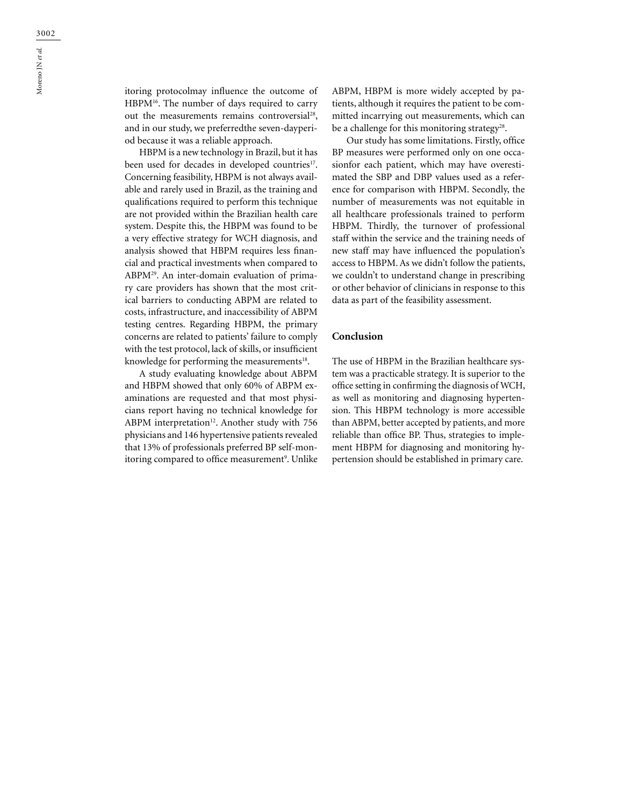itoring protocolmay influence the outcome of HBPM16. The number of days required to carry out the measurements remains controversial<sup>28</sup>, and in our study, we preferredthe seven-dayperiod because it was a reliable approach.

HBPM is a new technology in Brazil, but it has been used for decades in developed countries<sup>17</sup>. Concerning feasibility, HBPM is not always available and rarely used in Brazil, as the training and qualifications required to perform this technique are not provided within the Brazilian health care system. Despite this, the HBPM was found to be a very effective strategy for WCH diagnosis, and analysis showed that HBPM requires less financial and practical investments when compared to ABPM29. An inter-domain evaluation of primary care providers has shown that the most critical barriers to conducting ABPM are related to costs, infrastructure, and inaccessibility of ABPM testing centres. Regarding HBPM, the primary concerns are related to patients' failure to comply with the test protocol, lack of skills, or insufficient knowledge for performing the measurements<sup>18</sup>.

A study evaluating knowledge about ABPM and HBPM showed that only 60% of ABPM examinations are requested and that most physicians report having no technical knowledge for ABPM interpretation<sup>12</sup>. Another study with 756 physicians and 146 hypertensive patients revealed that 13% of professionals preferred BP self-monitoring compared to office measurement<sup>9</sup>. Unlike ABPM, HBPM is more widely accepted by patients, although it requires the patient to be committed incarrying out measurements, which can be a challenge for this monitoring strategy<sup>28</sup>.

Our study has some limitations. Firstly, office BP measures were performed only on one occasionfor each patient, which may have overestimated the SBP and DBP values used as a reference for comparison with HBPM. Secondly, the number of measurements was not equitable in all healthcare professionals trained to perform HBPM. Thirdly, the turnover of professional staff within the service and the training needs of new staff may have influenced the population's access to HBPM. As we didn't follow the patients, we couldn't to understand change in prescribing or other behavior of clinicians in response to this data as part of the feasibility assessment.

## **Conclusion**

The use of HBPM in the Brazilian healthcare system was a practicable strategy. It is superior to the office setting in confirming the diagnosis of WCH, as well as monitoring and diagnosing hypertension. This HBPM technology is more accessible than ABPM, better accepted by patients, and more reliable than office BP. Thus, strategies to implement HBPM for diagnosing and monitoring hypertension should be established in primary care.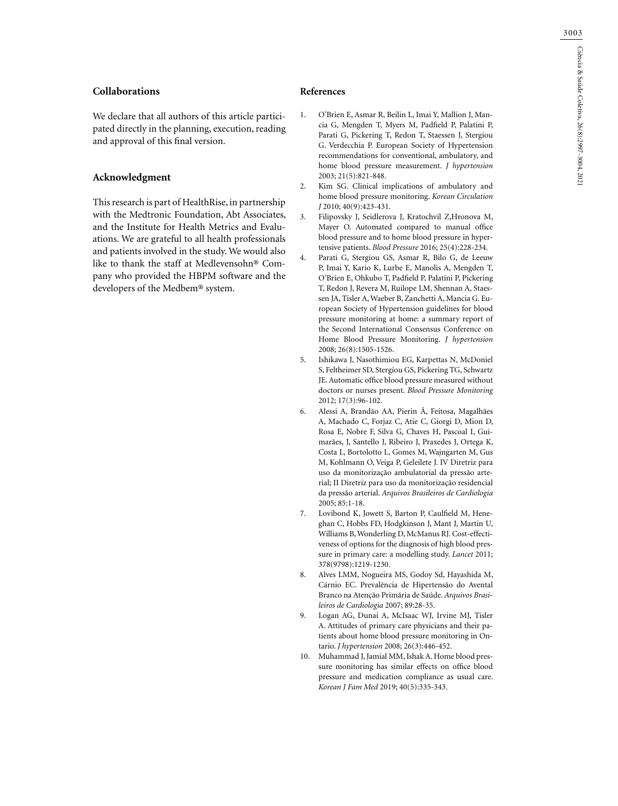## **Collaborations**

We declare that all authors of this article participated directly in the planning, execution, reading and approval of this final version.

## **Acknowledgment**

This research is part of HealthRise, in partnership with the Medtronic Foundation, Abt Associates, and the Institute for Health Metrics and Evaluations. We are grateful to all health professionals and patients involved in the study. We would also like to thank the staff at Medlevensohn® Company who provided the HBPM software and the developers of the Medbem® system.

#### **References**

- 1. O'Brien E, Asmar R, Beilin L, Imai Y, Mallion J, Mancia G, Mengden T, Myers M, Padfield P, Palatini P, Parati G, Pickering T, Redon T, Staessen J, Stergiou G. Verdecchia P. European Society of Hypertension recommendations for conventional, ambulatory, and home blood pressure measurement. *J hypertension* 2003; 21(5):821-848.
- 2. Kim SG. Clinical implications of ambulatory and home blood pressure monitoring. *Korean Circulation J* 2010; 40(9):423-431.
- 3. Filipovsky J, Seidlerova J, Kratochvil Z,Hronova M, Mayer O. Automated compared to manual office blood pressure and to home blood pressure in hypertensive patients. *Blood Pressure* 2016; 25(4):228-234.
- 4. Parati G, Stergiou GS, Asmar R, Bilo G, de Leeuw P, Imai Y, Kario K, Lurbe E, Manolis A, Mengden T, O'Brien E, Ohkubo T, Padfield P, Palatini P, Pickering T, Redon J, Revera M, Ruilope LM, Shennan A, Staessen JA, Tisler A, Waeber B, Zanchetti A, Mancia G. European Society of Hypertension guidelines for blood pressure monitoring at home: a summary report of the Second International Consensus Conference on Home Blood Pressure Monitoring. *J hypertension* 2008; 26(8):1505-1526.
- 5. Ishikawa J, Nasothimiou EG, Karpettas N, McDoniel S, Feltheimer SD, Stergiou GS, Pickering TG, Schwartz JE. Automatic office blood pressure measured without doctors or nurses present. *Blood Pressure Monitoring* 2012; 17(3):96-102.
- 6. Alessi A, Brandão AA, Pierin Â, Feitosa, Magalhães A, Machado C, Forjaz C, Atie C, Giorgi D, Mion D, Rosa E, Nobre F, Silva G, Chaves H, Pascoal I, Guimarães, J, Santello J, Ribeiro J, Praxedes J, Ortega K, Costa L, Bortolotto L, Gomes M, Wajngarten M, Gus M, Kohlmann O, Veiga P, Geleilete J. IV Diretriz para uso da monitorização ambulatorial da pressão arterial; II Diretriz para uso da monitorização residencial da pressão arterial. *Arquivos Brasileiros de Cardiologia* 2005; 85:1-18.
- 7. Lovibond K, Jowett S, Barton P, Caulfield M, Heneghan C, Hobbs FD, Hodgkinson J, Mant J, Martin U, Williams B, Wonderling D, McManus RJ. Cost-effectiveness of options for the diagnosis of high blood pressure in primary care: a modelling study. *Lancet* 2011; 378(9798):1219-1230.
- 8. Alves LMM, Nogueira MS, Godoy Sd, Hayashida M, Cárnio EC. Prevalência de Hipertensão do Avental Branco na Atenção Primária de Saúde. *Arquivos Brasileiros de Cardiologia* 2007; 89:28-35.
- 9. Logan AG, Dunai A, McIsaac WJ, Irvine MJ, Tisler A. Attitudes of primary care physicians and their patients about home blood pressure monitoring in Ontario. *J hypertension* 2008; 26(3):446-452.
- 10. Muhammad J, Jamial MM, Ishak A. Home blood pressure monitoring has similar effects on office blood pressure and medication compliance as usual care. *Korean J Fam Med* 2019; 40(5):335-343.